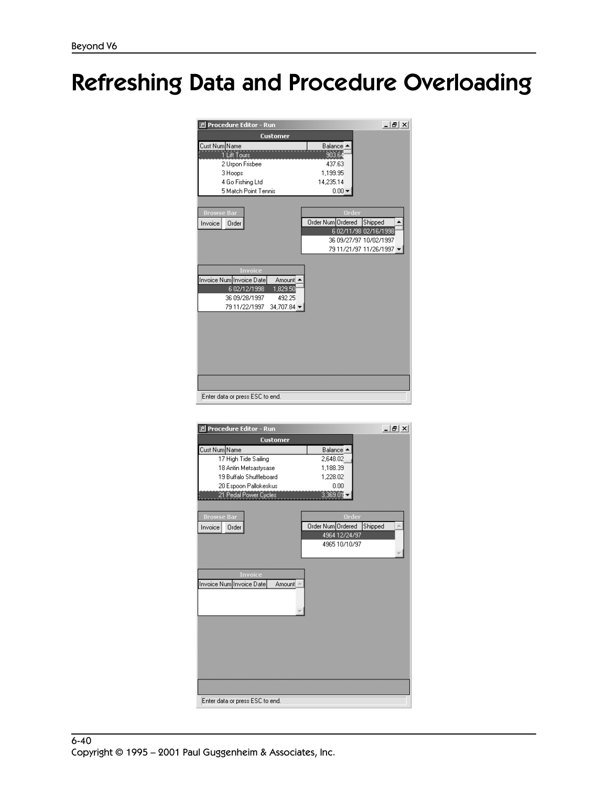## Refreshing Data and Procedure Overloading